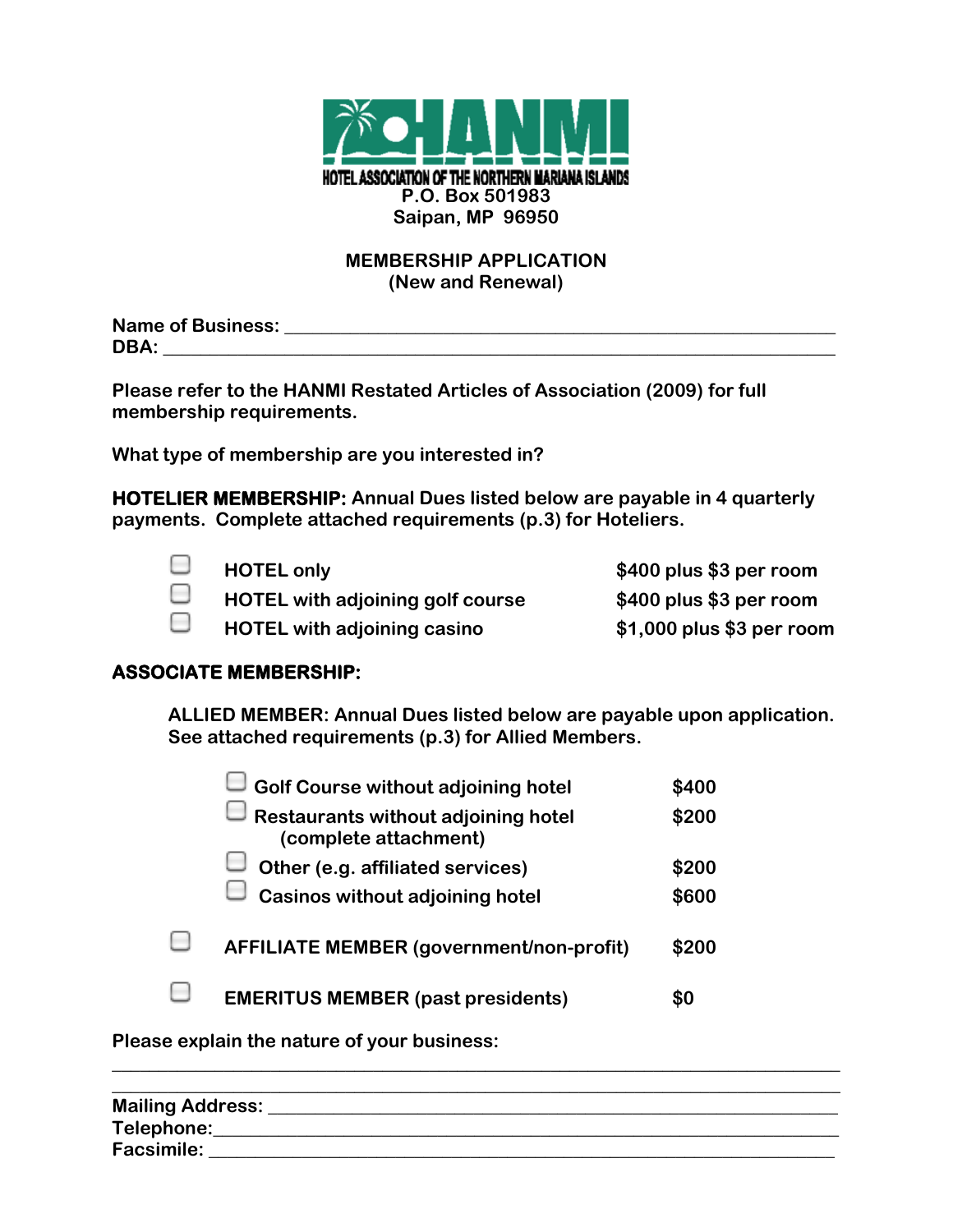

# **MEMBERSHIP APPLICATION (New and Renewal)**

**Name of Business: \_\_\_\_\_\_\_\_\_\_\_\_\_\_\_\_\_\_\_\_\_\_\_\_\_\_\_\_\_\_\_\_\_\_\_\_\_\_\_\_\_\_\_\_\_\_\_\_\_\_\_\_\_\_\_\_\_\_\_ DBA: \_\_\_\_\_\_\_\_\_\_\_\_\_\_\_\_\_\_\_\_\_\_\_\_\_\_\_\_\_\_\_\_\_\_\_\_\_\_\_\_\_\_\_\_\_\_\_\_\_\_\_\_\_\_\_\_\_\_\_\_\_\_\_\_\_\_\_\_\_\_\_\_**

**Please refer to the HANMI Restated Articles of Association (2009) for full membership requirements.** 

**What type of membership are you interested in?**

**HOTELIER MEMBERSHIP: Annual Dues listed below are payable in 4 quarterly payments. Complete attached requirements (p.3) for Hoteliers.**



**HOTEL only \$400 plus \$3 per room HOTEL with adjoining golf course \$400 plus \$3 per room HOTEL with adjoining casino \$1,000 plus \$3 per room**

# **ASSOCIATE MEMBERSHIP:**

**ALLIED MEMBER: Annual Dues listed below are payable upon application. See attached requirements (p.3) for Allied Members.**

| Golf Course without adjoining hotel                                 | \$400 |
|---------------------------------------------------------------------|-------|
| $\Box$ Restaurants without adjoining hotel<br>(complete attachment) | \$200 |
| Other (e.g. affiliated services)                                    | \$200 |
| $\mathbb J$ Casinos without adjoining hotel                         | \$600 |
| <b>AFFILIATE MEMBER (government/non-profit)</b>                     | \$200 |
| <b>EMERITUS MEMBER (past presidents)</b>                            |       |

**Please explain the nature of your business:**

| <b>Mailing Address:</b> |  |  |
|-------------------------|--|--|
| Telephone:              |  |  |
| <b>Facsimile:</b>       |  |  |

**\_\_\_\_\_\_\_\_\_\_\_\_\_\_\_\_\_\_\_\_\_\_\_\_\_\_\_\_\_\_\_\_\_\_\_\_\_\_\_\_\_\_\_\_\_\_\_\_\_\_\_\_\_\_\_\_\_\_\_\_\_\_\_\_\_\_\_\_\_\_\_\_\_\_\_\_\_\_**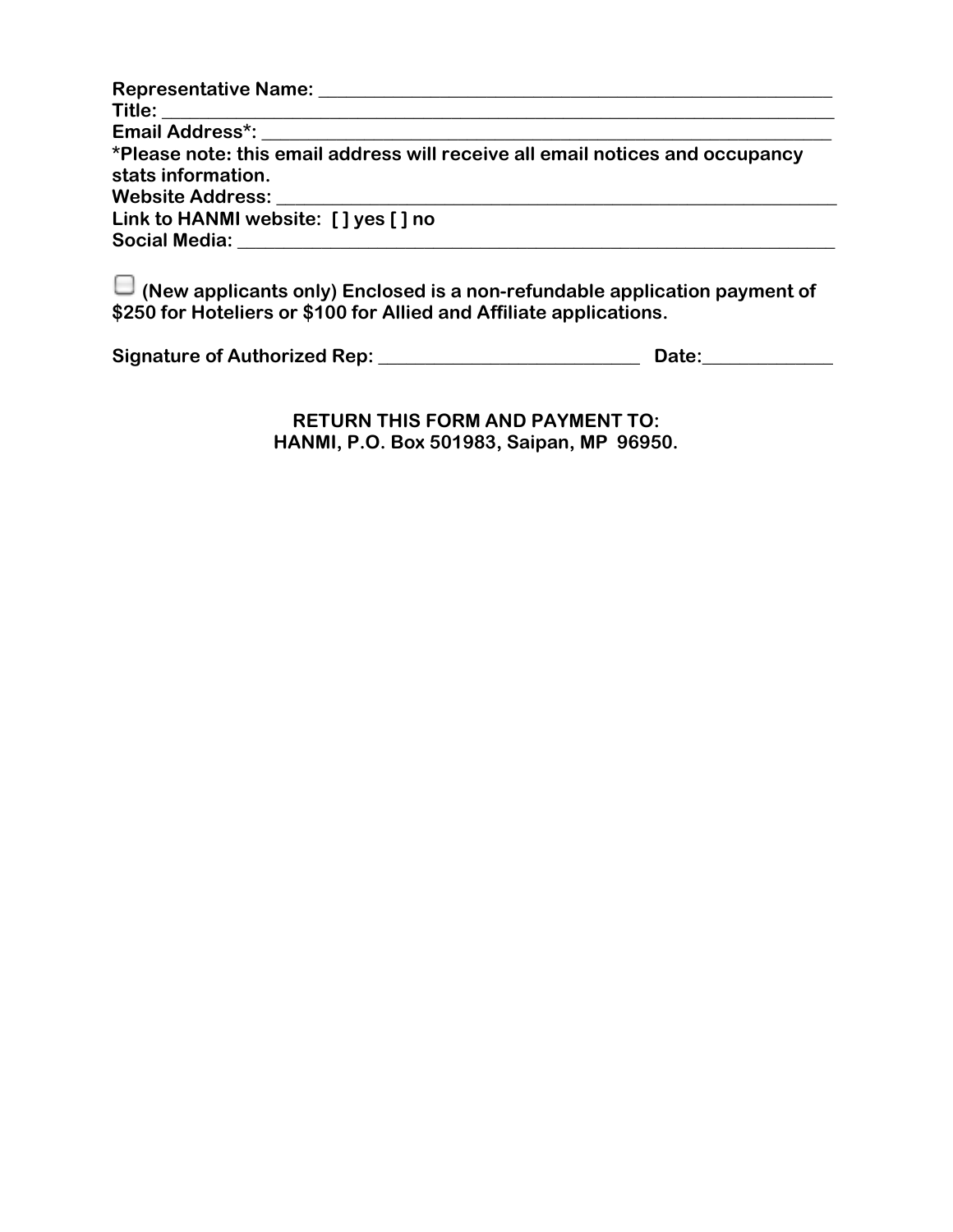| Representative Name: Name: Name and Allen Manual Allen Manual Allen Manual Allen Manual Allen Manual Allen Manual Allen Manual Allen Manual Allen Manual Allen Manual Allen Manual Allen Manual Allen Manual Allen Manual Alle |
|--------------------------------------------------------------------------------------------------------------------------------------------------------------------------------------------------------------------------------|
|                                                                                                                                                                                                                                |
|                                                                                                                                                                                                                                |
| *Please note: this email address will receive all email notices and occupancy                                                                                                                                                  |
| stats information.                                                                                                                                                                                                             |
| Website Address: New York Changes and Management Changes and Management Changes and Management Changes                                                                                                                         |
| Link to HANMI website: [] yes [] no                                                                                                                                                                                            |
|                                                                                                                                                                                                                                |

**(New applicants only) Enclosed is a non-refundable application payment of \$250 for Hoteliers or \$100 for Allied and Affiliate applications.** 

| <b>Signature of Authorized Rep:</b> | Date: |
|-------------------------------------|-------|
|-------------------------------------|-------|

**RETURN THIS FORM AND PAYMENT TO: HANMI, P.O. Box 501983, Saipan, MP 96950.**